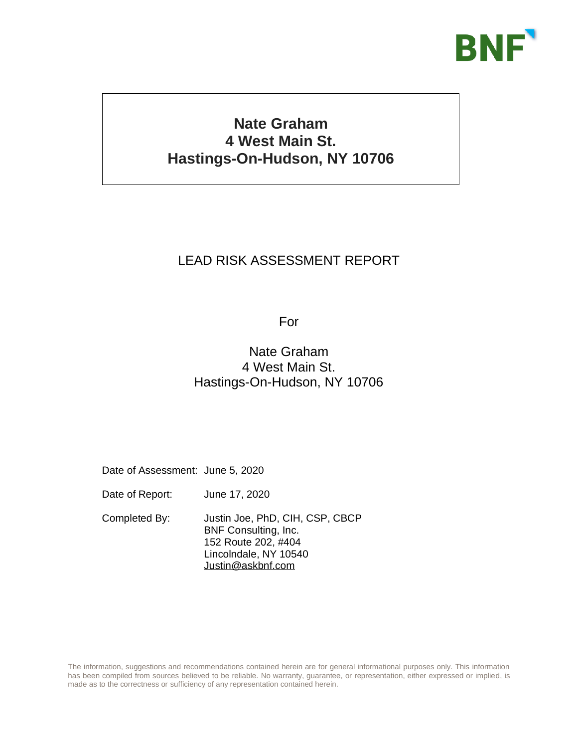

# **Nate Graham 4 West Main St. Hastings-On-Hudson, NY 10706**

# LEAD RISK ASSESSMENT REPORT

For

# Nate Graham 4 West Main St. Hastings-On-Hudson, NY 10706

Date of Assessment: June 5, 2020

Date of Report: June 17, 2020

Completed By: Justin Joe, PhD, CIH, CSP, CBCP BNF Consulting, Inc. 152 Route 202, #404 Lincolndale, NY 10540 [Justin@askbnf.com](mailto:Justing@askbnf.com)

The information, suggestions and recommendations contained herein are for general informational purposes only. This information has been compiled from sources believed to be reliable. No warranty, guarantee, or representation, either expressed or implied, is made as to the correctness or sufficiency of any representation contained herein.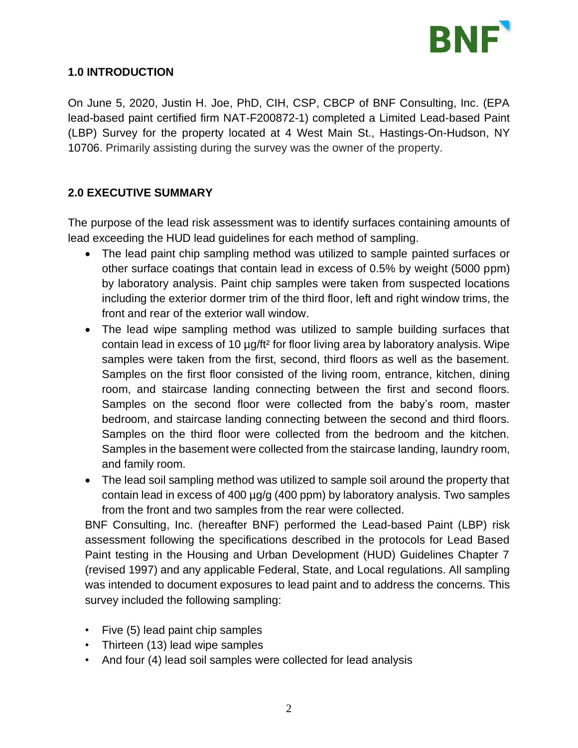

# **1.0 INTRODUCTION**

On June 5, 2020, Justin H. Joe, PhD, CIH, CSP, CBCP of BNF Consulting, Inc. (EPA lead-based paint certified firm NAT-F200872-1) completed a Limited Lead-based Paint (LBP) Survey for the property located at 4 West Main St., Hastings-On-Hudson, NY 10706. Primarily assisting during the survey was the owner of the property.

# **2.0 EXECUTIVE SUMMARY**

The purpose of the lead risk assessment was to identify surfaces containing amounts of lead exceeding the HUD lead guidelines for each method of sampling.

- The lead paint chip sampling method was utilized to sample painted surfaces or other surface coatings that contain lead in excess of 0.5% by weight (5000 ppm) by laboratory analysis. Paint chip samples were taken from suspected locations including the exterior dormer trim of the third floor, left and right window trims, the front and rear of the exterior wall window.
- The lead wipe sampling method was utilized to sample building surfaces that contain lead in excess of 10 µg/ft² for floor living area by laboratory analysis. Wipe samples were taken from the first, second, third floors as well as the basement. Samples on the first floor consisted of the living room, entrance, kitchen, dining room, and staircase landing connecting between the first and second floors. Samples on the second floor were collected from the baby's room, master bedroom, and staircase landing connecting between the second and third floors. Samples on the third floor were collected from the bedroom and the kitchen. Samples in the basement were collected from the staircase landing, laundry room, and family room.
- The lead soil sampling method was utilized to sample soil around the property that contain lead in excess of 400 µg/g (400 ppm) by laboratory analysis. Two samples from the front and two samples from the rear were collected.

BNF Consulting, Inc. (hereafter BNF) performed the Lead-based Paint (LBP) risk assessment following the specifications described in the protocols for Lead Based Paint testing in the Housing and Urban Development (HUD) Guidelines Chapter 7 (revised 1997) and any applicable Federal, State, and Local regulations. All sampling was intended to document exposures to lead paint and to address the concerns. This survey included the following sampling:

- Five (5) lead paint chip samples
- Thirteen (13) lead wipe samples
- And four (4) lead soil samples were collected for lead analysis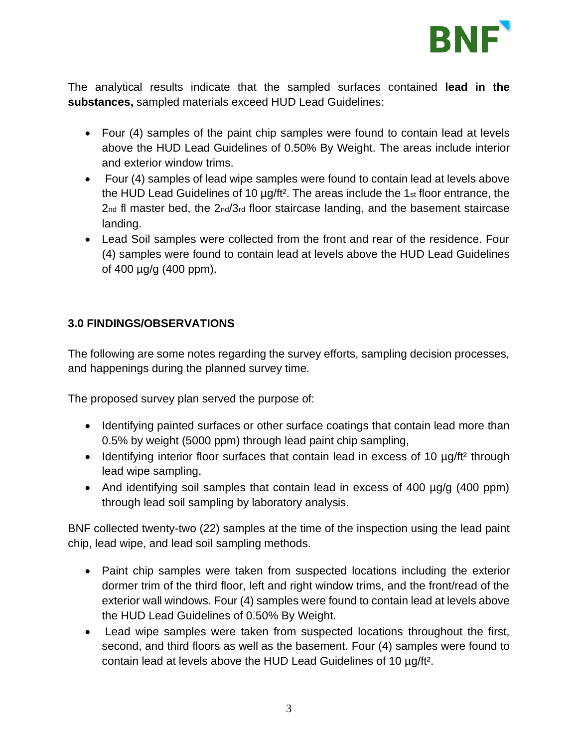

The analytical results indicate that the sampled surfaces contained **lead in the substances,** sampled materials exceed HUD Lead Guidelines:

- Four (4) samples of the paint chip samples were found to contain lead at levels above the HUD Lead Guidelines of 0.50% By Weight. The areas include interior and exterior window trims.
- Four (4) samples of lead wipe samples were found to contain lead at levels above the HUD Lead Guidelines of 10 µg/ft². The areas include the 1st floor entrance, the 2nd fl master bed, the 2nd/3rd floor staircase landing, and the basement staircase landing.
- Lead Soil samples were collected from the front and rear of the residence. Four (4) samples were found to contain lead at levels above the HUD Lead Guidelines of 400 µg/g (400 ppm).

# **3.0 FINDINGS/OBSERVATIONS**

The following are some notes regarding the survey efforts, sampling decision processes, and happenings during the planned survey time.

The proposed survey plan served the purpose of:

- Identifying painted surfaces or other surface coatings that contain lead more than 0.5% by weight (5000 ppm) through lead paint chip sampling,
- Identifying interior floor surfaces that contain lead in excess of 10 µg/ft<sup>2</sup> through lead wipe sampling,
- And identifying soil samples that contain lead in excess of 400 µg/g (400 ppm) through lead soil sampling by laboratory analysis.

BNF collected twenty-two (22) samples at the time of the inspection using the lead paint chip, lead wipe, and lead soil sampling methods.

- Paint chip samples were taken from suspected locations including the exterior dormer trim of the third floor, left and right window trims, and the front/read of the exterior wall windows. Four (4) samples were found to contain lead at levels above the HUD Lead Guidelines of 0.50% By Weight.
- Lead wipe samples were taken from suspected locations throughout the first, second, and third floors as well as the basement. Four (4) samples were found to contain lead at levels above the HUD Lead Guidelines of 10 µg/ft².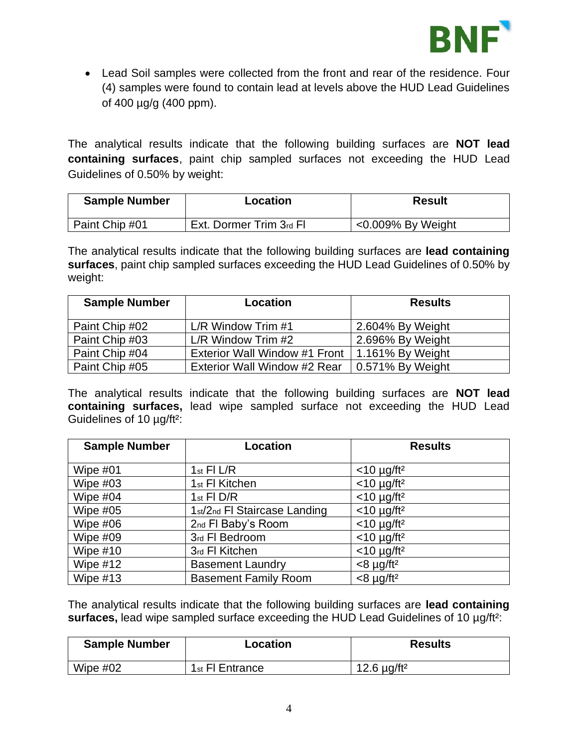

• Lead Soil samples were collected from the front and rear of the residence. Four (4) samples were found to contain lead at levels above the HUD Lead Guidelines of 400 µg/g (400 ppm).

The analytical results indicate that the following building surfaces are **NOT lead containing surfaces**, paint chip sampled surfaces not exceeding the HUD Lead Guidelines of 0.50% by weight:

| <b>Sample Number</b> | Location                | <b>Result</b>        |
|----------------------|-------------------------|----------------------|
| Paint Chip #01       | Ext. Dormer Trim 3rd Fl | $<$ 0.009% By Weight |

The analytical results indicate that the following building surfaces are **lead containing surfaces**, paint chip sampled surfaces exceeding the HUD Lead Guidelines of 0.50% by weight:

| <b>Sample Number</b> | Location                      | <b>Results</b>   |
|----------------------|-------------------------------|------------------|
| Paint Chip #02       | $L/R$ Window Trim #1          | 2.604% By Weight |
| Paint Chip #03       | $L/R$ Window Trim $#2$        | 2.696% By Weight |
| Paint Chip #04       | Exterior Wall Window #1 Front | 1.161% By Weight |
| Paint Chip #05       | Exterior Wall Window #2 Rear  | 0.571% By Weight |

The analytical results indicate that the following building surfaces are **NOT lead containing surfaces,** lead wipe sampled surface not exceeding the HUD Lead Guidelines of 10 µg/ft²:

| <b>Sample Number</b> | Location                     | <b>Results</b>            |
|----------------------|------------------------------|---------------------------|
|                      |                              |                           |
| Wipe $#01$           | $1st$ FI L/R                 | $<$ 10 µg/ft <sup>2</sup> |
| Wipe $#03$           | 1 <sub>st</sub> FI Kitchen   | $<$ 10 µg/ft <sup>2</sup> |
| Wipe $#04$           | $1st$ FI D/R                 | $<$ 10 µg/ft <sup>2</sup> |
| Wipe $#05$           | 1st/2nd FI Staircase Landing | $<$ 10 µg/ft <sup>2</sup> |
| Wipe $#06$           | 2nd FI Baby's Room           | $<$ 10 µg/ft <sup>2</sup> |
| Wipe #09             | 3rd FI Bedroom               | $<$ 10 µg/ft <sup>2</sup> |
| Wipe $#10$           | 3rd FI Kitchen               | $<$ 10 µg/ft <sup>2</sup> |
| Wipe $#12$           | <b>Basement Laundry</b>      | $<8 \mu g/ft^2$           |
| Wipe $#13$           | <b>Basement Family Room</b>  | $<8 \mu g/ft^2$           |

The analytical results indicate that the following building surfaces are **lead containing surfaces,** lead wipe sampled surface exceeding the HUD Lead Guidelines of 10 µg/ft²:

| <b>Sample Number</b> | Location                    | <b>Results</b>               |
|----------------------|-----------------------------|------------------------------|
| Wipe $#02$           | 1 <sub>st</sub> FI Entrance | 12.6 $\mu$ g/ft <sup>2</sup> |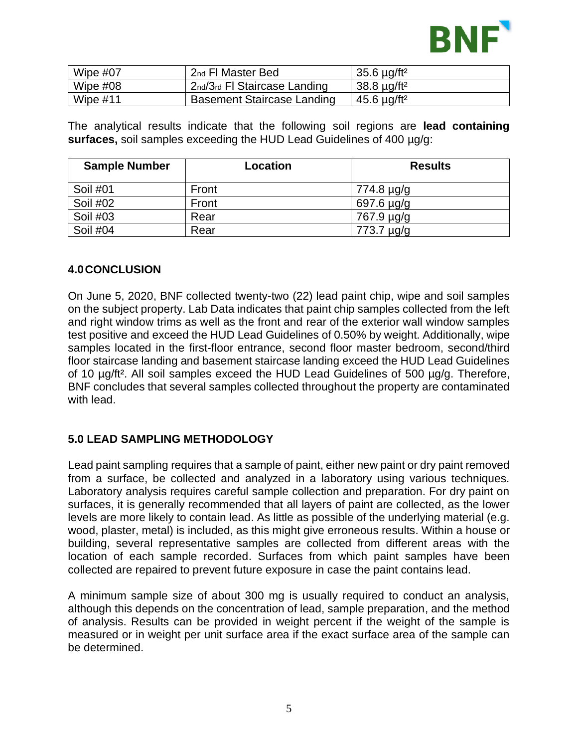

| Wipe #07   | 2 <sub>nd</sub> FI Master Bed     | 35.6 $\mu$ g/ft <sup>2</sup> |
|------------|-----------------------------------|------------------------------|
| Wipe $#08$ | 2nd/3rd FI Staircase Landing      | $38.8 \mu q/ft^2$            |
| Wipe $#11$ | <b>Basement Staircase Landing</b> | ⊢45.6 µg/ft <del>?</del>     |

The analytical results indicate that the following soil regions are **lead containing surfaces,** soil samples exceeding the HUD Lead Guidelines of 400 µg/g:

| <b>Sample Number</b> | Location | <b>Results</b> |
|----------------------|----------|----------------|
| Soil #01             | Front    | 774.8 µg/g     |
| Soil #02             | Front    | 697.6 µg/g     |
| Soil #03             | Rear     | 767.9 µg/g     |
| Soil #04             | Rear     | 773.7 µg/g     |

#### **4.0CONCLUSION**

On June 5, 2020, BNF collected twenty-two (22) lead paint chip, wipe and soil samples on the subject property. Lab Data indicates that paint chip samples collected from the left and right window trims as well as the front and rear of the exterior wall window samples test positive and exceed the HUD Lead Guidelines of 0.50% by weight. Additionally, wipe samples located in the first-floor entrance, second floor master bedroom, second/third floor staircase landing and basement staircase landing exceed the HUD Lead Guidelines of 10 µg/ft². All soil samples exceed the HUD Lead Guidelines of 500 µg/g. Therefore, BNF concludes that several samples collected throughout the property are contaminated with lead.

#### **5.0 LEAD SAMPLING METHODOLOGY**

Lead paint sampling requires that a sample of paint, either new paint or dry paint removed from a surface, be collected and analyzed in a laboratory using various techniques. Laboratory analysis requires careful sample collection and preparation. For dry paint on surfaces, it is generally recommended that all layers of paint are collected, as the lower levels are more likely to contain lead. As little as possible of the underlying material (e.g. wood, plaster, metal) is included, as this might give erroneous results. Within a house or building, several representative samples are collected from different areas with the location of each sample recorded. Surfaces from which paint samples have been collected are repaired to prevent future exposure in case the paint contains lead.

A minimum sample size of about 300 mg is usually required to conduct an analysis, although this depends on the concentration of lead, sample preparation, and the method of analysis. Results can be provided in weight percent if the weight of the sample is measured or in weight per unit surface area if the exact surface area of the sample can be determined.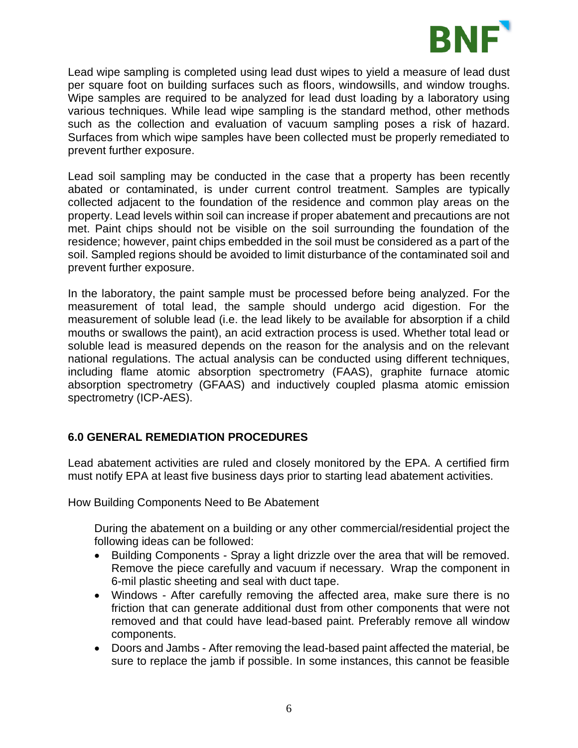

Lead wipe sampling is completed using lead dust wipes to yield a measure of lead dust per square foot on building surfaces such as floors, windowsills, and window troughs. Wipe samples are required to be analyzed for lead dust loading by a laboratory using various techniques. While lead wipe sampling is the standard method, other methods such as the collection and evaluation of vacuum sampling poses a risk of hazard. Surfaces from which wipe samples have been collected must be properly remediated to prevent further exposure.

Lead soil sampling may be conducted in the case that a property has been recently abated or contaminated, is under current control treatment. Samples are typically collected adjacent to the foundation of the residence and common play areas on the property. Lead levels within soil can increase if proper abatement and precautions are not met. Paint chips should not be visible on the soil surrounding the foundation of the residence; however, paint chips embedded in the soil must be considered as a part of the soil. Sampled regions should be avoided to limit disturbance of the contaminated soil and prevent further exposure.

In the laboratory, the paint sample must be processed before being analyzed. For the measurement of total lead, the sample should undergo acid digestion. For the measurement of soluble lead (i.e. the lead likely to be available for absorption if a child mouths or swallows the paint), an acid extraction process is used. Whether total lead or soluble lead is measured depends on the reason for the analysis and on the relevant national regulations. The actual analysis can be conducted using different techniques, including flame atomic absorption spectrometry (FAAS), graphite furnace atomic absorption spectrometry (GFAAS) and inductively coupled plasma atomic emission spectrometry (ICP-AES).

# **6.0 GENERAL REMEDIATION PROCEDURES**

Lead abatement activities are ruled and closely monitored by the EPA. A certified firm must notify EPA at least five business days prior to starting lead abatement activities.

How Building Components Need to Be Abatement

During the abatement on a building or any other commercial/residential project the following ideas can be followed:

- Building Components Spray a light drizzle over the area that will be removed. Remove the piece carefully and vacuum if necessary. Wrap the component in 6-mil plastic sheeting and seal with duct tape.
- Windows After carefully removing the affected area, make sure there is no friction that can generate additional dust from other components that were not removed and that could have lead-based paint. Preferably remove all window components.
- Doors and Jambs After removing the lead-based paint affected the material, be sure to replace the jamb if possible. In some instances, this cannot be feasible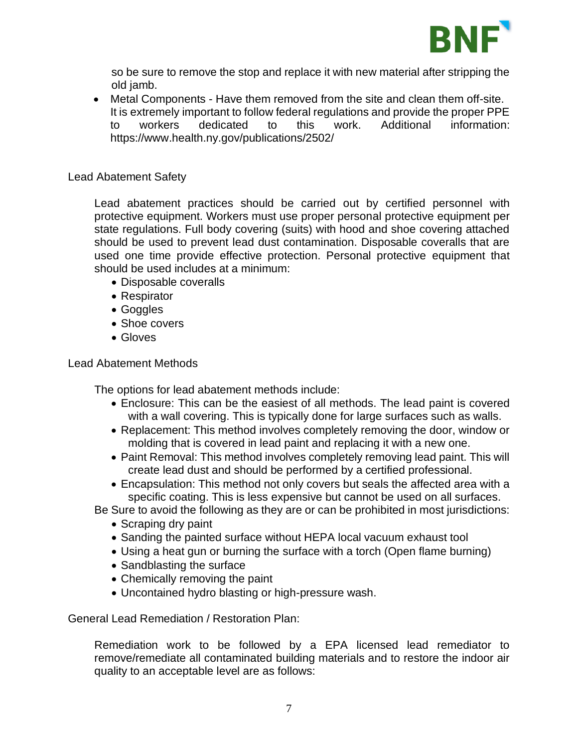

so be sure to remove the stop and replace it with new material after stripping the old jamb.

• Metal Components - Have them removed from the site and clean them off-site. It is extremely important to follow federal regulations and provide the proper PPE to workers dedicated to this work. Additional information: <https://www.health.ny.gov/publications/2502/>

#### Lead Abatement Safety

Lead abatement practices should be carried out by certified personnel with protective equipment. Workers must use proper personal protective equipment per state regulations. Full body covering (suits) with hood and shoe covering attached should be used to prevent lead dust contamination. Disposable coveralls that are used one time provide effective protection. Personal protective equipment that should be used includes at a minimum:

- Disposable coveralls
- Respirator
- Goggles
- Shoe covers
- Gloves

#### Lead Abatement Methods

The options for lead abatement methods include:

- Enclosure: This can be the easiest of all methods. The lead paint is covered with a wall covering. This is typically done for large surfaces such as walls.
- Replacement: This method involves completely removing the door, window or molding that is covered in lead paint and replacing it with a new one.
- Paint Removal: This method involves completely removing lead paint. This will create lead dust and should be performed by a certified professional.
- Encapsulation: This method not only covers but seals the affected area with a specific coating. This is less expensive but cannot be used on all surfaces.

Be Sure to avoid the following as they are or can be prohibited in most jurisdictions:

- Scraping dry paint
- Sanding the painted surface without HEPA local vacuum exhaust tool
- Using a heat gun or burning the surface with a torch (Open flame burning)
- Sandblasting the surface
- Chemically removing the paint
- Uncontained hydro blasting or high-pressure wash.

General Lead Remediation / Restoration Plan:

Remediation work to be followed by a EPA licensed lead remediator to remove/remediate all contaminated building materials and to restore the indoor air quality to an acceptable level are as follows: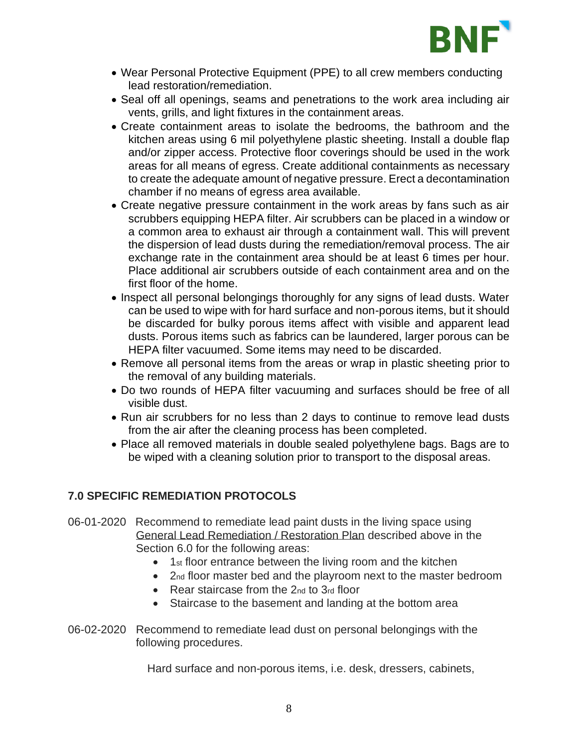

- Wear Personal Protective Equipment (PPE) to all crew members conducting lead restoration/remediation.
- Seal off all openings, seams and penetrations to the work area including air vents, grills, and light fixtures in the containment areas.
- Create containment areas to isolate the bedrooms, the bathroom and the kitchen areas using 6 mil polyethylene plastic sheeting. Install a double flap and/or zipper access. Protective floor coverings should be used in the work areas for all means of egress. Create additional containments as necessary to create the adequate amount of negative pressure. Erect a decontamination chamber if no means of egress area available.
- Create negative pressure containment in the work areas by fans such as air scrubbers equipping HEPA filter. Air scrubbers can be placed in a window or a common area to exhaust air through a containment wall. This will prevent the dispersion of lead dusts during the remediation/removal process. The air exchange rate in the containment area should be at least 6 times per hour. Place additional air scrubbers outside of each containment area and on the first floor of the home.
- Inspect all personal belongings thoroughly for any signs of lead dusts. Water can be used to wipe with for hard surface and non-porous items, but it should be discarded for bulky porous items affect with visible and apparent lead dusts. Porous items such as fabrics can be laundered, larger porous can be HEPA filter vacuumed. Some items may need to be discarded.
- Remove all personal items from the areas or wrap in plastic sheeting prior to the removal of any building materials.
- Do two rounds of HEPA filter vacuuming and surfaces should be free of all visible dust.
- Run air scrubbers for no less than 2 days to continue to remove lead dusts from the air after the cleaning process has been completed.
- Place all removed materials in double sealed polyethylene bags. Bags are to be wiped with a cleaning solution prior to transport to the disposal areas.

# **7.0 SPECIFIC REMEDIATION PROTOCOLS**

- 06-01-2020 Recommend to remediate lead paint dusts in the living space using General Lead Remediation / Restoration Plan described above in the Section 6.0 for the following areas:
	- 1st floor entrance between the living room and the kitchen
	- 2nd floor master bed and the playroom next to the master bedroom
	- Rear staircase from the 2nd to 3rd floor
	- Staircase to the basement and landing at the bottom area
- 06-02-2020 Recommend to remediate lead dust on personal belongings with the following procedures.

Hard surface and non-porous items, i.e. desk, dressers, cabinets,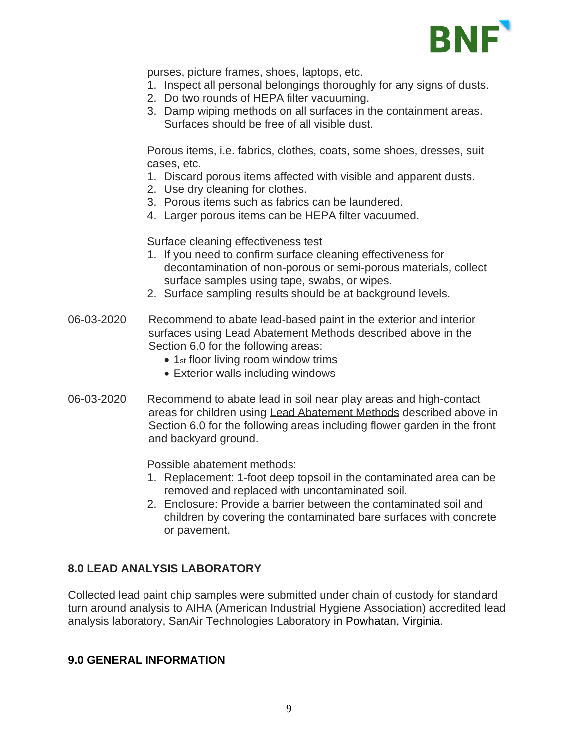

purses, picture frames, shoes, laptops, etc.

- 1. Inspect all personal belongings thoroughly for any signs of dusts.
- 2. Do two rounds of HEPA filter vacuuming.
- 3. Damp wiping methods on all surfaces in the containment areas. Surfaces should be free of all visible dust.

Porous items, i.e. fabrics, clothes, coats, some shoes, dresses, suit cases, etc.

- 1. Discard porous items affected with visible and apparent dusts.
- 2. Use dry cleaning for clothes.
- 3. Porous items such as fabrics can be laundered.
- 4. Larger porous items can be HEPA filter vacuumed.

Surface cleaning effectiveness test

- 1. If you need to confirm surface cleaning effectiveness for decontamination of non-porous or semi-porous materials, collect surface samples using tape, swabs, or wipes.
- 2. Surface sampling results should be at background levels.
- 06-03-2020 Recommend to abate lead-based paint in the exterior and interior surfaces using Lead Abatement Methods described above in the Section 6.0 for the following areas:
	- 1<sub>st</sub> floor living room window trims
	- Exterior walls including windows
- 06-03-2020 Recommend to abate lead in soil near play areas and high-contact areas for children using Lead Abatement Methods described above in Section 6.0 for the following areas including flower garden in the front and backyard ground.

Possible abatement methods:

- 1. Replacement: 1-foot deep topsoil in the contaminated area can be removed and replaced with uncontaminated soil.
- 2. Enclosure: Provide a barrier between the contaminated soil and children by covering the contaminated bare surfaces with concrete or pavement.

# **8.0 LEAD ANALYSIS LABORATORY**

Collected lead paint chip samples were submitted under chain of custody for standard turn around analysis to AIHA (American Industrial Hygiene Association) accredited lead analysis laboratory, SanAir Technologies Laboratory in Powhatan, Virginia.

#### **9.0 GENERAL INFORMATION**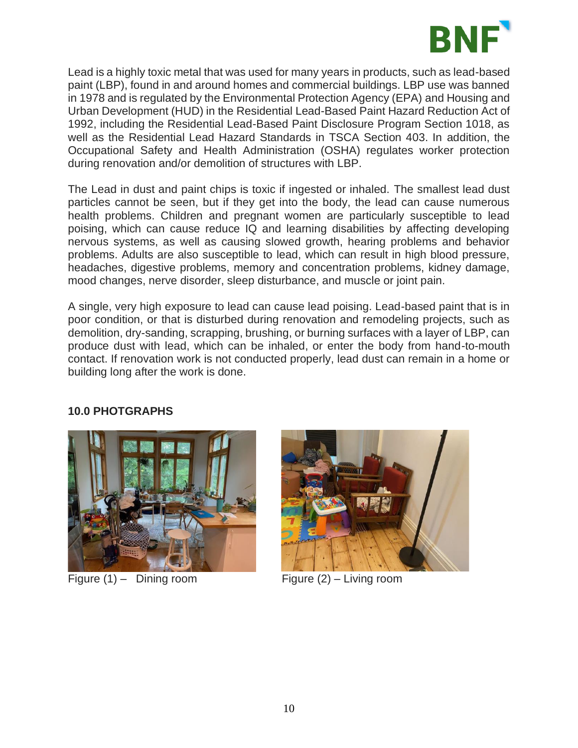

Lead is a highly toxic metal that was used for many years in products, such as lead-based paint (LBP), found in and around homes and commercial buildings. LBP use was banned in 1978 and is regulated by the Environmental Protection Agency (EPA) and Housing and Urban Development (HUD) in the Residential Lead-Based Paint Hazard Reduction Act of 1992, including the Residential Lead-Based Paint Disclosure Program Section 1018, as well as the Residential Lead Hazard Standards in TSCA Section 403. In addition, the Occupational Safety and Health Administration (OSHA) regulates worker protection during renovation and/or demolition of structures with LBP.

The Lead in dust and paint chips is toxic if ingested or inhaled. The smallest lead dust particles cannot be seen, but if they get into the body, the lead can cause numerous health problems. Children and pregnant women are particularly susceptible to lead poising, which can cause reduce IQ and learning disabilities by affecting developing nervous systems, as well as causing slowed growth, hearing problems and behavior problems. Adults are also susceptible to lead, which can result in high blood pressure, headaches, digestive problems, memory and concentration problems, kidney damage, mood changes, nerve disorder, sleep disturbance, and muscle or joint pain.

A single, very high exposure to lead can cause lead poising. Lead-based paint that is in poor condition, or that is disturbed during renovation and remodeling projects, such as demolition, dry-sanding, scrapping, brushing, or burning surfaces with a layer of LBP, can produce dust with lead, which can be inhaled, or enter the body from hand-to-mouth contact. If renovation work is not conducted properly, lead dust can remain in a home or building long after the work is done.

# **10.0 PHOTGRAPHS**

Figure (1) – Dining room Figure (2) – Living room

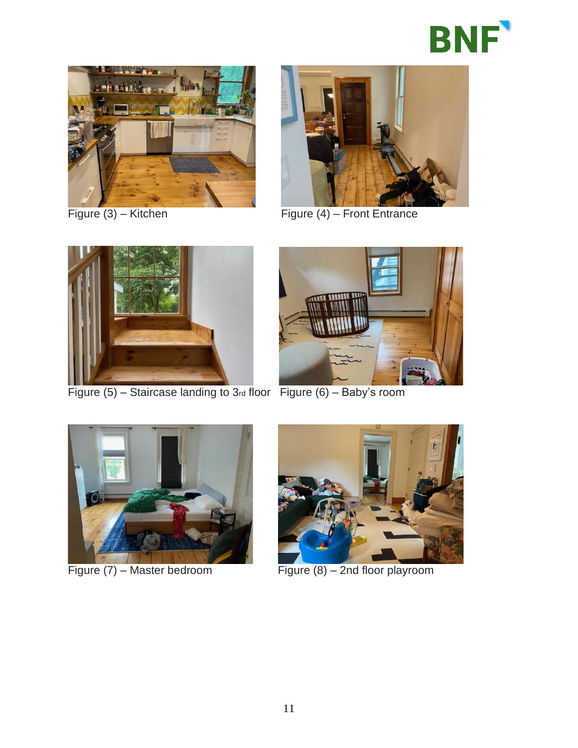





Figure (3) – Kitchen Figure (4) – Front Entrance



Figure  $(5)$  – Staircase landing to 3rd floor Figure  $(6)$  – Baby's room







Figure (7) – Master bedroom Figure (8) – 2nd floor playroom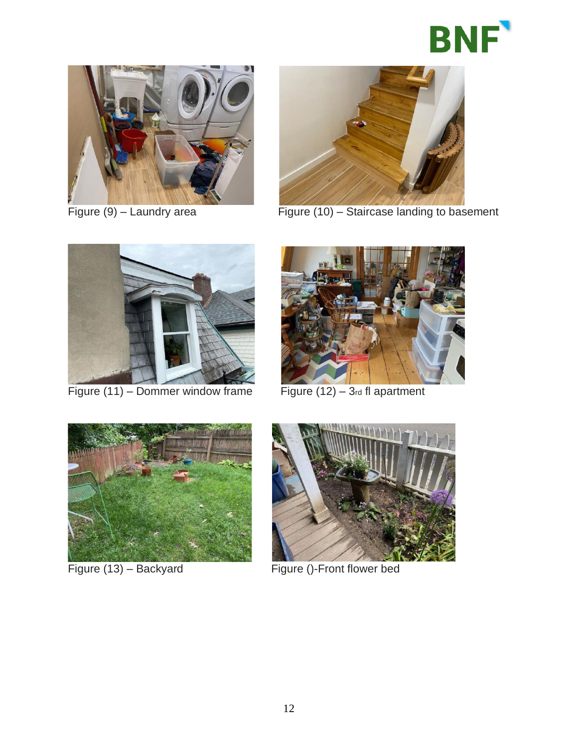





Figure (9) – Laundry area Figure (10) – Staircase landing to basement



Figure  $(11)$  – Dommer window frame Figure  $(12)$  – 3rd fl apartment







Figure (13) – Backyard Figure ()-Front flower bed